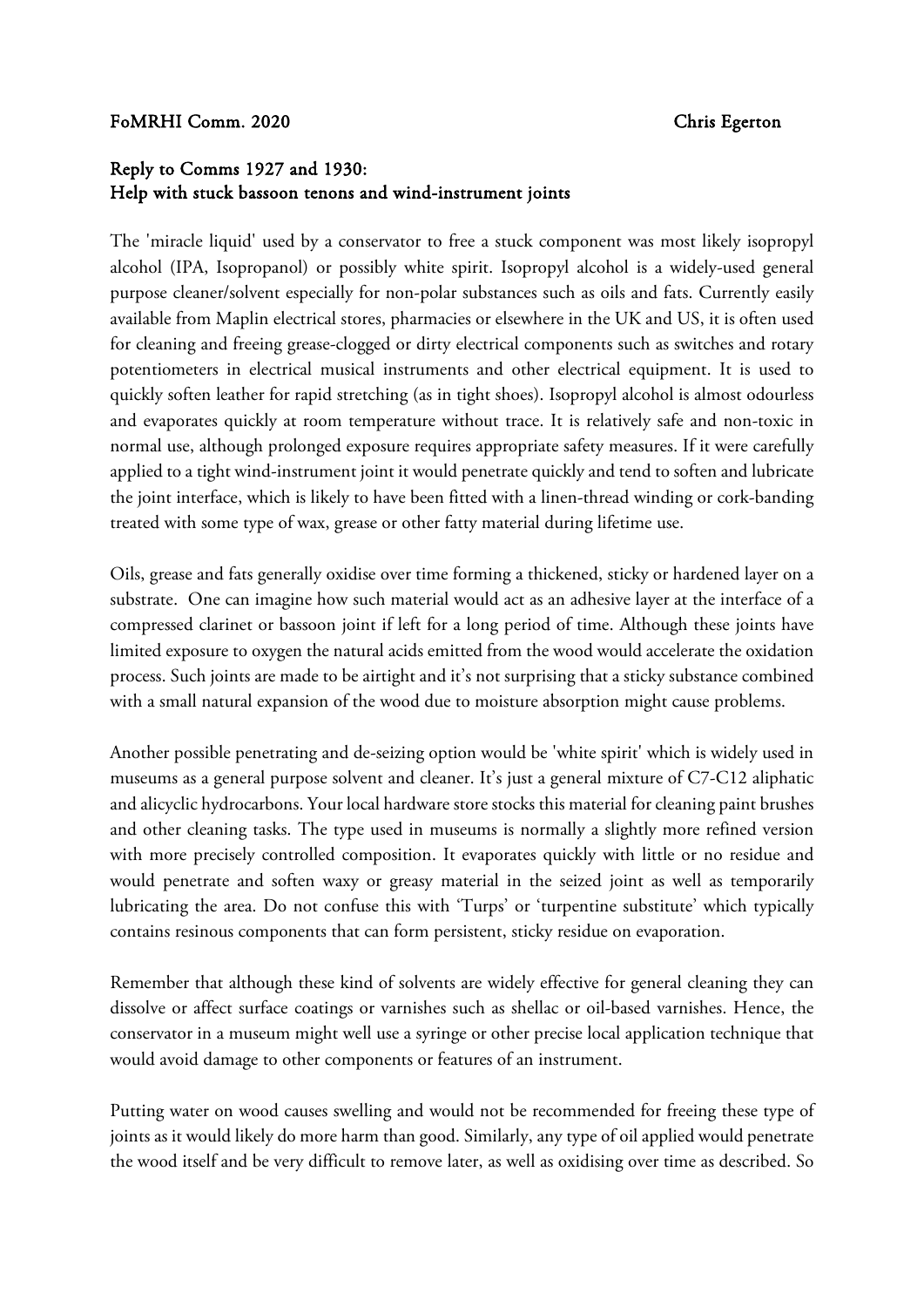## FoMRHI Comm. 2020 Chris Egerton

## Reply to Comms 1927 and 1930: Help with stuck bassoon tenons and wind-instrument joints

The 'miracle liquid' used by a conservator to free a stuck component was most likely isopropyl alcohol (IPA, Isopropanol) or possibly white spirit. Isopropyl alcohol is a widely-used general purpose cleaner/solvent especially for non-polar substances such as oils and fats. Currently easily available from Maplin electrical stores, pharmacies or elsewhere in the UK and US, it is often used for cleaning and freeing grease-clogged or dirty electrical components such as switches and rotary potentiometers in electrical musical instruments and other electrical equipment. It is used to quickly soften leather for rapid stretching (as in tight shoes). Isopropyl alcohol is almost odourless and evaporates quickly at room temperature without trace. It is relatively safe and non-toxic in normal use, although prolonged exposure requires appropriate safety measures. If it were carefully applied to a tight wind-instrument joint it would penetrate quickly and tend to soften and lubricate the joint interface, which is likely to have been fitted with a linen-thread winding or cork-banding treated with some type of wax, grease or other fatty material during lifetime use.

Oils, grease and fats generally oxidise over time forming a thickened, sticky or hardened layer on a substrate. One can imagine how such material would act as an adhesive layer at the interface of a compressed clarinet or bassoon joint if left for a long period of time. Although these joints have limited exposure to oxygen the natural acids emitted from the wood would accelerate the oxidation process. Such joints are made to be airtight and it's not surprising that a sticky substance combined with a small natural expansion of the wood due to moisture absorption might cause problems.

Another possible penetrating and de-seizing option would be 'white spirit' which is widely used in museums as a general purpose solvent and cleaner. It's just a general mixture of C7-C12 aliphatic and alicyclic hydrocarbons. Your local hardware store stocks this material for cleaning paint brushes and other cleaning tasks. The type used in museums is normally a slightly more refined version with more precisely controlled composition. It evaporates quickly with little or no residue and would penetrate and soften waxy or greasy material in the seized joint as well as temporarily lubricating the area. Do not confuse this with 'Turps' or 'turpentine substitute' which typically contains resinous components that can form persistent, sticky residue on evaporation.

Remember that although these kind of solvents are widely effective for general cleaning they can dissolve or affect surface coatings or varnishes such as shellac or oil-based varnishes. Hence, the conservator in a museum might well use a syringe or other precise local application technique that would avoid damage to other components or features of an instrument.

Putting water on wood causes swelling and would not be recommended for freeing these type of joints as it would likely do more harm than good. Similarly, any type of oil applied would penetrate the wood itself and be very difficult to remove later, as well as oxidising over time as described. So